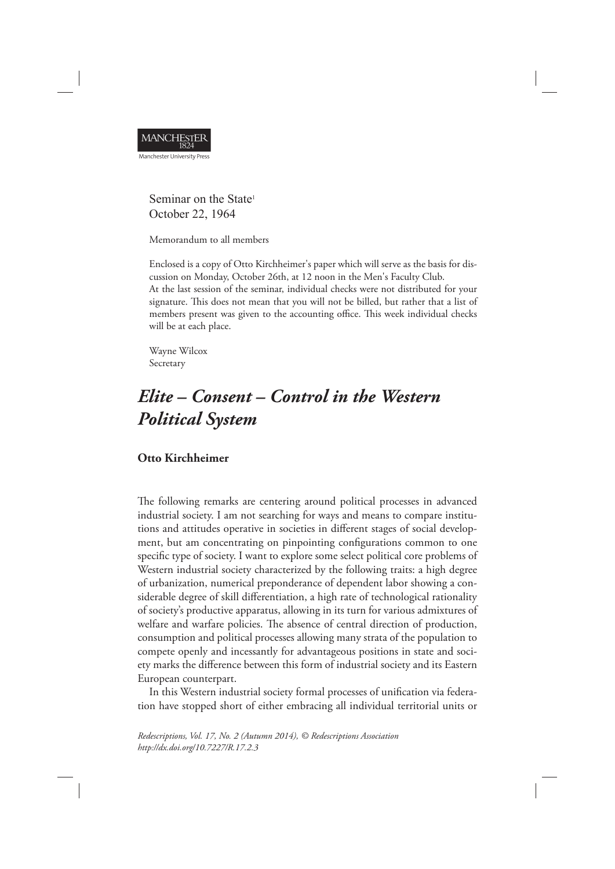

Seminar on the State October 22, 1964

Memorandum to all members

Enclosed is a copy of Otto Kirchheimer's paper which will serve as the basis for discussion on Monday, October 26th, at 12 noon in the Men's Faculty Club. At the last session of the seminar, individual checks were not distributed for your signature. This does not mean that you will not be billed, but rather that a list of members present was given to the accounting office. This week individual checks will be at each place.

Wayne Wilcox Secretary

# *Elite – Consent – Control in the Western Political System*

# **Otto Kirchheimer**

The following remarks are centering around political processes in advanced industrial society. I am not searching for ways and means to compare institutions and attitudes operative in societies in different stages of social development, but am concentrating on pinpointing configurations common to one specific type of society. I want to explore some select political core problems of Western industrial society characterized by the following traits: a high degree of urbanization, numerical preponderance of dependent labor showing a considerable degree of skill differentiation, a high rate of technological rationality of society's productive apparatus, allowing in its turn for various admixtures of welfare and warfare policies. The absence of central direction of production, consumption and political processes allowing many strata of the population to compete openly and incessantly for advantageous positions in state and society marks the difference between this form of industrial society and its Eastern European counterpart.

In this Western industrial society formal processes of unification via federation have stopped short of either embracing all individual territorial units or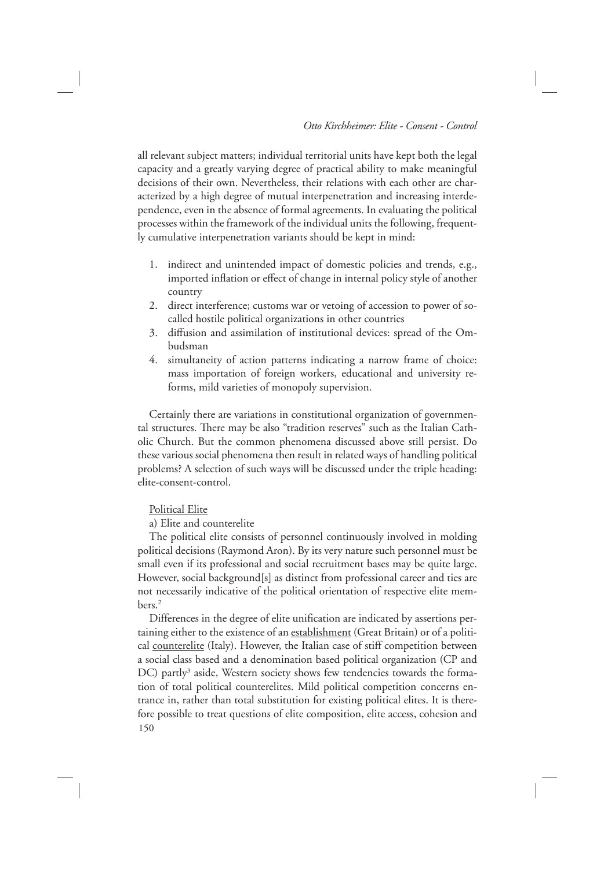all relevant subject matters; individual territorial units have kept both the legal capacity and a greatly varying degree of practical ability to make meaningful decisions of their own. Nevertheless, their relations with each other are characterized by a high degree of mutual interpenetration and increasing interdependence, even in the absence of formal agreements. In evaluating the political processes within the framework of the individual units the following, frequently cumulative interpenetration variants should be kept in mind:

- 1. indirect and unintended impact of domestic policies and trends, e.g., imported inflation or effect of change in internal policy style of another country
- 2. direct interference; customs war or vetoing of accession to power of socalled hostile political organizations in other countries
- 3. diffusion and assimilation of institutional devices: spread of the Ombudsman
- 4. simultaneity of action patterns indicating a narrow frame of choice: mass importation of foreign workers, educational and university reforms, mild varieties of monopoly supervision.

Certainly there are variations in constitutional organization of governmental structures. There may be also "tradition reserves" such as the Italian Catholic Church. But the common phenomena discussed above still persist. Do these various social phenomena then result in related ways of handling political problems? A selection of such ways will be discussed under the triple heading: elite-consent-control.

# Political Elite

a) Elite and counterelite

The political elite consists of personnel continuously involved in molding political decisions (Raymond Aron). By its very nature such personnel must be small even if its professional and social recruitment bases may be quite large. However, social background[s] as distinct from professional career and ties are not necessarily indicative of the political orientation of respective elite members.<sup>2</sup>

150 Differences in the degree of elite unification are indicated by assertions pertaining either to the existence of an establishment (Great Britain) or of a political counterelite (Italy). However, the Italian case of stiff competition between a social class based and a denomination based political organization (CP and DC) partly<sup>3</sup> aside, Western society shows few tendencies towards the formation of total political counterelites. Mild political competition concerns entrance in, rather than total substitution for existing political elites. It is therefore possible to treat questions of elite composition, elite access, cohesion and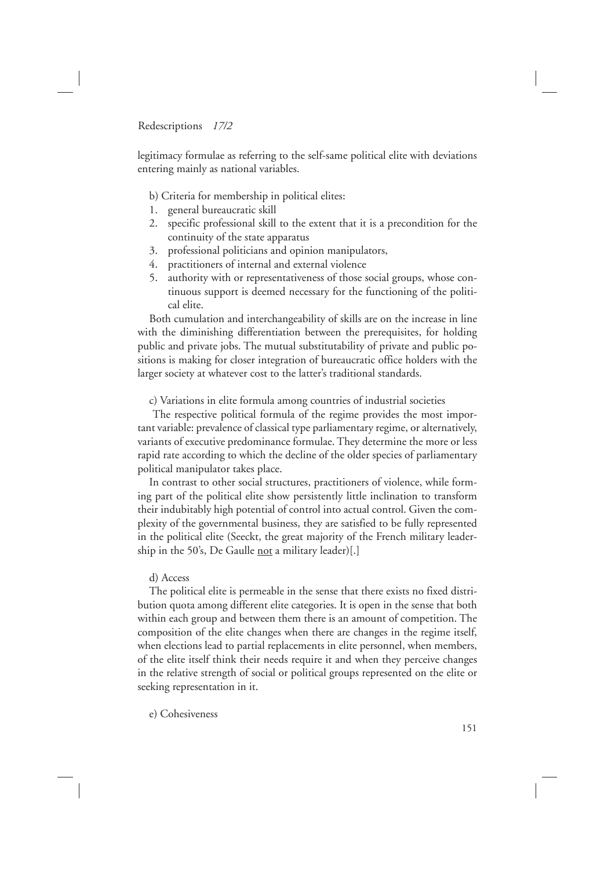legitimacy formulae as referring to the self-same political elite with deviations entering mainly as national variables.

- b) Criteria for membership in political elites:
- 1. general bureaucratic skill
- 2. specific professional skill to the extent that it is a precondition for the continuity of the state apparatus
- 3. professional politicians and opinion manipulators,
- 4. practitioners of internal and external violence
- 5. authority with or representativeness of those social groups, whose continuous support is deemed necessary for the functioning of the political elite.

Both cumulation and interchangeability of skills are on the increase in line with the diminishing differentiation between the prerequisites, for holding public and private jobs. The mutual substitutability of private and public positions is making for closer integration of bureaucratic office holders with the larger society at whatever cost to the latter's traditional standards.

c) Variations in elite formula among countries of industrial societies

 The respective political formula of the regime provides the most important variable: prevalence of classical type parliamentary regime, or alternatively, variants of executive predominance formulae. They determine the more or less rapid rate according to which the decline of the older species of parliamentary political manipulator takes place.

In contrast to other social structures, practitioners of violence, while forming part of the political elite show persistently little inclination to transform their indubitably high potential of control into actual control. Given the complexity of the governmental business, they are satisfied to be fully represented in the political elite (Seeckt, the great majority of the French military leadership in the 50's, De Gaulle not a military leader)[.]

d) Access

The political elite is permeable in the sense that there exists no fixed distribution quota among different elite categories. It is open in the sense that both within each group and between them there is an amount of competition. The composition of the elite changes when there are changes in the regime itself, when elections lead to partial replacements in elite personnel, when members, of the elite itself think their needs require it and when they perceive changes in the relative strength of social or political groups represented on the elite or seeking representation in it.

e) Cohesiveness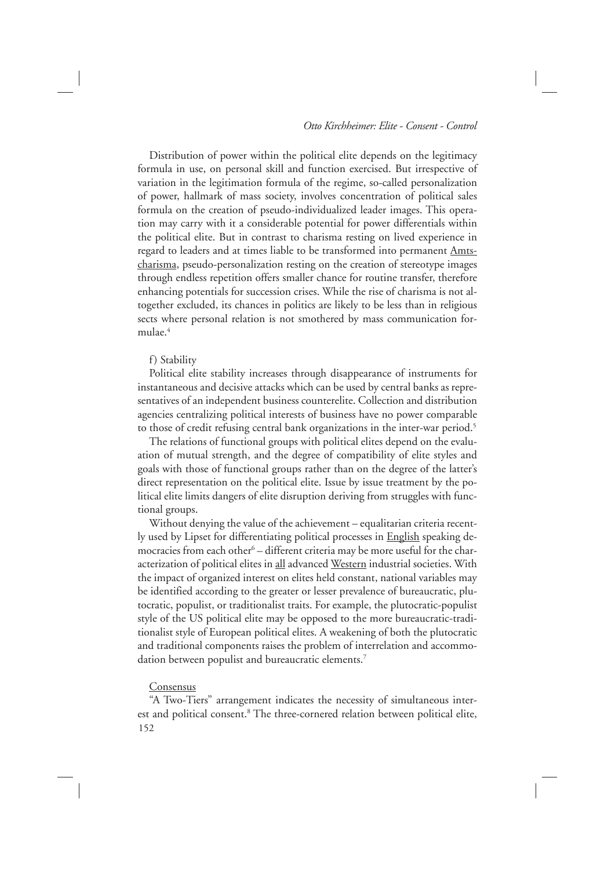Distribution of power within the political elite depends on the legitimacy formula in use, on personal skill and function exercised. But irrespective of variation in the legitimation formula of the regime, so-called personalization of power, hallmark of mass society, involves concentration of political sales formula on the creation of pseudo-individualized leader images. This operation may carry with it a considerable potential for power differentials within the political elite. But in contrast to charisma resting on lived experience in regard to leaders and at times liable to be transformed into permanent Amtscharisma, pseudo-personalization resting on the creation of stereotype images through endless repetition offers smaller chance for routine transfer, therefore enhancing potentials for succession crises. While the rise of charisma is not altogether excluded, its chances in politics are likely to be less than in religious sects where personal relation is not smothered by mass communication formulae $4$ 

# f) Stability

Political elite stability increases through disappearance of instruments for instantaneous and decisive attacks which can be used by central banks as representatives of an independent business counterelite. Collection and distribution agencies centralizing political interests of business have no power comparable to those of credit refusing central bank organizations in the inter-war period.<sup>5</sup>

The relations of functional groups with political elites depend on the evaluation of mutual strength, and the degree of compatibility of elite styles and goals with those of functional groups rather than on the degree of the latter's direct representation on the political elite. Issue by issue treatment by the political elite limits dangers of elite disruption deriving from struggles with functional groups.

Without denying the value of the achievement – equalitarian criteria recently used by Lipset for differentiating political processes in English speaking democracies from each other $^6-$  different criteria may be more useful for the characterization of political elites in all advanced Western industrial societies. With the impact of organized interest on elites held constant, national variables may be identified according to the greater or lesser prevalence of bureaucratic, plutocratic, populist, or traditionalist traits. For example, the plutocratic-populist style of the US political elite may be opposed to the more bureaucratic-traditionalist style of European political elites. A weakening of both the plutocratic and traditional components raises the problem of interrelation and accommodation between populist and bureaucratic elements.<sup>7</sup>

#### **Consensus**

152 "A Two-Tiers" arrangement indicates the necessity of simultaneous interest and political consent.<sup>8</sup> The three-cornered relation between political elite,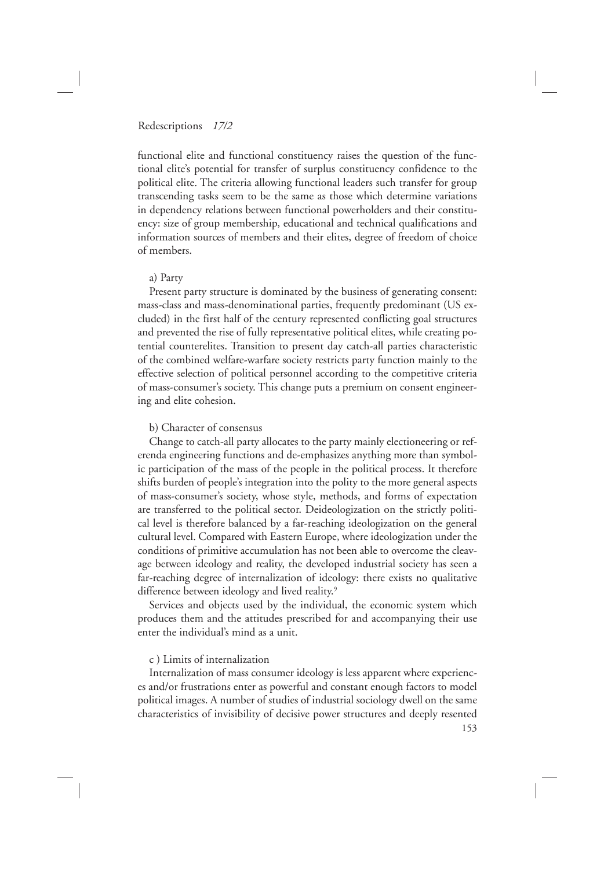functional elite and functional constituency raises the question of the functional elite's potential for transfer of surplus constituency confidence to the political elite. The criteria allowing functional leaders such transfer for group transcending tasks seem to be the same as those which determine variations in dependency relations between functional powerholders and their constituency: size of group membership, educational and technical qualifications and information sources of members and their elites, degree of freedom of choice of members.

#### a) Party

Present party structure is dominated by the business of generating consent: mass-class and mass-denominational parties, frequently predominant (US excluded) in the first half of the century represented conflicting goal structures and prevented the rise of fully representative political elites, while creating potential counterelites. Transition to present day catch-all parties characteristic of the combined welfare-warfare society restricts party function mainly to the effective selection of political personnel according to the competitive criteria of mass-consumer's society. This change puts a premium on consent engineering and elite cohesion.

# b) Character of consensus

Change to catch-all party allocates to the party mainly electioneering or referenda engineering functions and de-emphasizes anything more than symbolic participation of the mass of the people in the political process. It therefore shifts burden of people's integration into the polity to the more general aspects of mass-consumer's society, whose style, methods, and forms of expectation are transferred to the political sector. Deideologization on the strictly political level is therefore balanced by a far-reaching ideologization on the general cultural level. Compared with Eastern Europe, where ideologization under the conditions of primitive accumulation has not been able to overcome the cleavage between ideology and reality, the developed industrial society has seen a far-reaching degree of internalization of ideology: there exists no qualitative difference between ideology and lived reality.<sup>9</sup>

Services and objects used by the individual, the economic system which produces them and the attitudes prescribed for and accompanying their use enter the individual's mind as a unit.

#### c ) Limits of internalization

Internalization of mass consumer ideology is less apparent where experiences and/or frustrations enter as powerful and constant enough factors to model political images. A number of studies of industrial sociology dwell on the same characteristics of invisibility of decisive power structures and deeply resented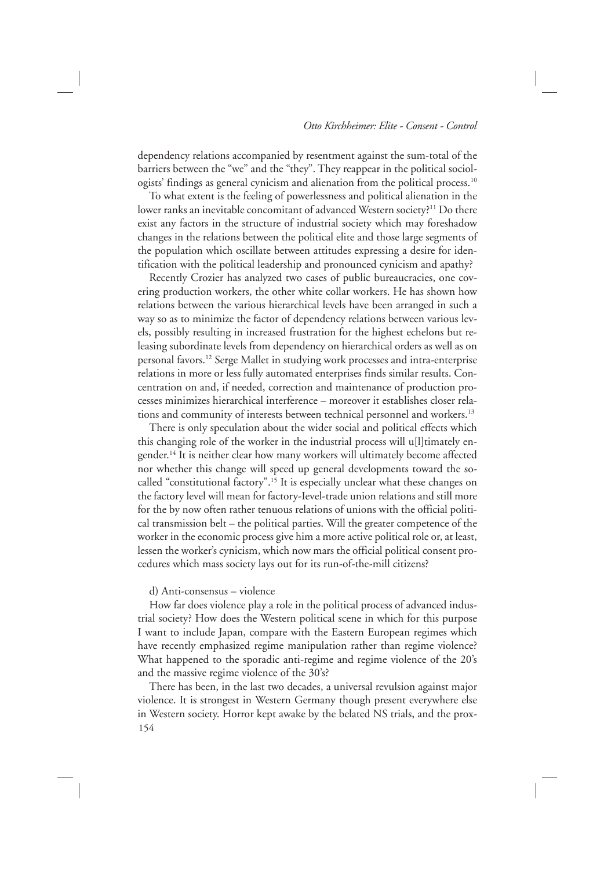dependency relations accompanied by resentment against the sum-total of the barriers between the "we" and the "they". They reappear in the political sociologists' findings as general cynicism and alienation from the political process.<sup>10</sup>

To what extent is the feeling of powerlessness and political alienation in the lower ranks an inevitable concomitant of advanced Western society?<sup>11</sup> Do there exist any factors in the structure of industrial society which may foreshadow changes in the relations between the political elite and those large segments of the population which oscillate between attitudes expressing a desire for identification with the political leadership and pronounced cynicism and apathy?

Recently Crozier has analyzed two cases of public bureaucracies, one covering production workers, the other white collar workers. He has shown how relations between the various hierarchical levels have been arranged in such a way so as to minimize the factor of dependency relations between various levels, possibly resulting in increased frustration for the highest echelons but releasing subordinate levels from dependency on hierarchical orders as well as on personal favors.12 Serge Mallet in studying work processes and intra-enterprise relations in more or less fully automated enterprises finds similar results. Concentration on and, if needed, correction and maintenance of production processes minimizes hierarchical interference – moreover it establishes closer relations and community of interests between technical personnel and workers.<sup>13</sup>

There is only speculation about the wider social and political effects which this changing role of the worker in the industrial process will u[l]timately engender.<sup>14</sup> It is neither clear how many workers will ultimately become affected nor whether this change will speed up general developments toward the socalled "constitutional factory".15 It is especially unclear what these changes on the factory level will mean for factory-Ievel-trade union relations and still more for the by now often rather tenuous relations of unions with the official political transmission belt – the political parties. Will the greater competence of the worker in the economic process give him a more active political role or, at least, lessen the worker's cynicism, which now mars the official political consent procedures which mass society lays out for its run-of-the-mill citizens?

#### d) Anti-consensus – violence

How far does violence play a role in the political process of advanced industrial society? How does the Western political scene in which for this purpose I want to include Japan, compare with the Eastern European regimes which have recently emphasized regime manipulation rather than regime violence? What happened to the sporadic anti-regime and regime violence of the 20's and the massive regime violence of the 30's?

154 There has been, in the last two decades, a universal revulsion against major violence. It is strongest in Western Germany though present everywhere else in Western society. Horror kept awake by the belated NS trials, and the prox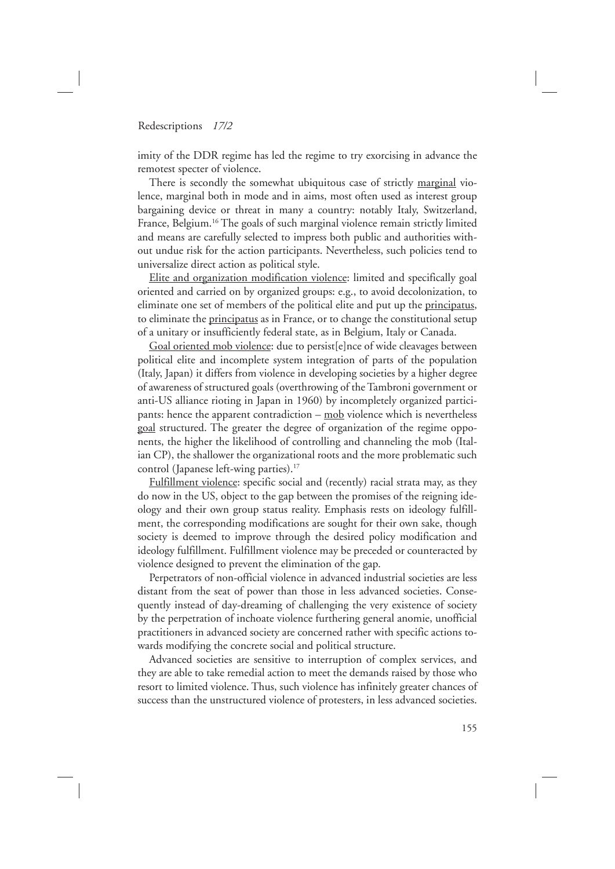imity of the DDR regime has led the regime to try exorcising in advance the remotest specter of violence.

There is secondly the somewhat ubiquitous case of strictly marginal violence, marginal both in mode and in aims, most often used as interest group bargaining device or threat in many a country: notably Italy, Switzerland, France, Belgium.<sup>16</sup> The goals of such marginal violence remain strictly limited and means are carefully selected to impress both public and authorities without undue risk for the action participants. Nevertheless, such policies tend to universalize direct action as political style.

Elite and organization modification violence: limited and specifically goal oriented and carried on by organized groups: e.g., to avoid decolonization, to eliminate one set of members of the political elite and put up the principatus, to eliminate the principatus as in France, or to change the constitutional setup of a unitary or insufficiently federal state, as in Belgium, Italy or Canada.

Goal oriented mob violence: due to persist[e]nce of wide cleavages between political elite and incomplete system integration of parts of the population (Italy, Japan) it differs from violence in developing societies by a higher degree of awareness of structured goals (overthrowing of the Tambroni government or anti-US alliance rioting in Japan in 1960) by incompletely organized participants: hence the apparent contradiction – mob violence which is nevertheless goal structured. The greater the degree of organization of the regime opponents, the higher the likelihood of controlling and channeling the mob (Italian CP), the shallower the organizational roots and the more problematic such control (Japanese left-wing parties).<sup>17</sup>

Fulfillment violence: specific social and (recently) racial strata may, as they do now in the US, object to the gap between the promises of the reigning ideology and their own group status reality. Emphasis rests on ideology fulfillment, the corresponding modifications are sought for their own sake, though society is deemed to improve through the desired policy modification and ideology fulfillment. Fulfillment violence may be preceded or counteracted by violence designed to prevent the elimination of the gap.

Perpetrators of non-official violence in advanced industrial societies are less distant from the seat of power than those in less advanced societies. Consequently instead of day-dreaming of challenging the very existence of society by the perpetration of inchoate violence furthering general anomie, unofficial practitioners in advanced society are concerned rather with specific actions towards modifying the concrete social and political structure.

Advanced societies are sensitive to interruption of complex services, and they are able to take remedial action to meet the demands raised by those who resort to limited violence. Thus, such violence has infinitely greater chances of success than the unstructured violence of protesters, in less advanced societies.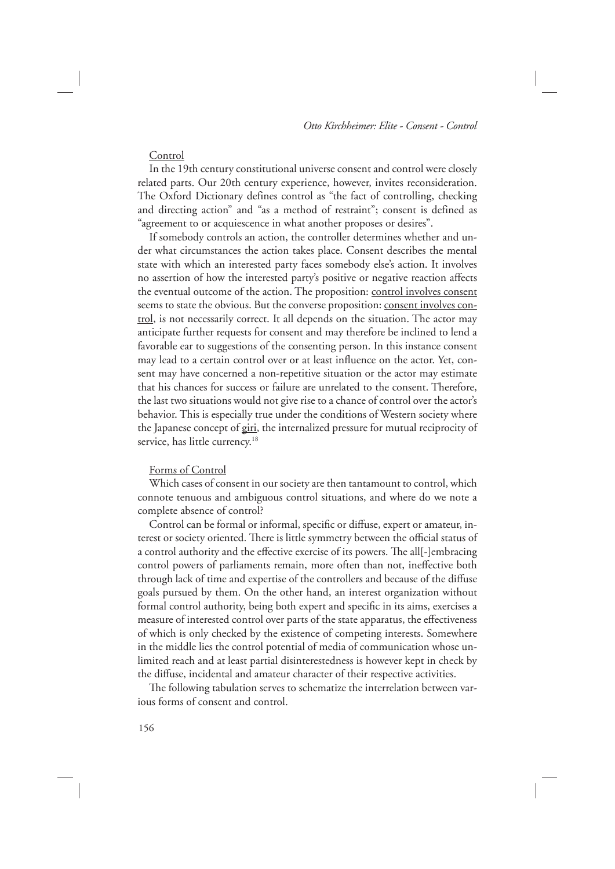### Control

In the 19th century constitutional universe consent and control were closely related parts. Our 20th century experience, however, invites reconsideration. The Oxford Dictionary defines control as "the fact of controlling, checking and directing action" and "as a method of restraint"; consent is defined as "agreement to or acquiescence in what another proposes or desires".

If somebody controls an action, the controller determines whether and under what circumstances the action takes place. Consent describes the mental state with which an interested party faces somebody else's action. It involves no assertion of how the interested party's positive or negative reaction affects the eventual outcome of the action. The proposition: control involves consent seems to state the obvious. But the converse proposition: consent involves control, is not necessarily correct. It all depends on the situation. The actor may anticipate further requests for consent and may therefore be inclined to lend a favorable ear to suggestions of the consenting person. In this instance consent may lead to a certain control over or at least influence on the actor. Yet, consent may have concerned a non-repetitive situation or the actor may estimate that his chances for success or failure are unrelated to the consent. Therefore, the last two situations would not give rise to a chance of control over the actor's behavior. This is especially true under the conditions of Western society where the Japanese concept of giri, the internalized pressure for mutual reciprocity of service, has little currency.<sup>18</sup>

# Forms of Control

Which cases of consent in our society are then tantamount to control, which connote tenuous and ambiguous control situations, and where do we note a complete absence of control?

Control can be formal or informal, specific or diffuse, expert or amateur, interest or society oriented. There is little symmetry between the official status of a control authority and the effective exercise of its powers. The all[-]embracing control powers of parliaments remain, more often than not, ineffective both through lack of time and expertise of the controllers and because of the diffuse goals pursued by them. On the other hand, an interest organization without formal control authority, being both expert and specific in its aims, exercises a measure of interested control over parts of the state apparatus, the effectiveness of which is only checked by the existence of competing interests. Somewhere in the middle lies the control potential of media of communication whose unlimited reach and at least partial disinterestedness is however kept in check by the diffuse, incidental and amateur character of their respective activities.

The following tabulation serves to schematize the interrelation between various forms of consent and control.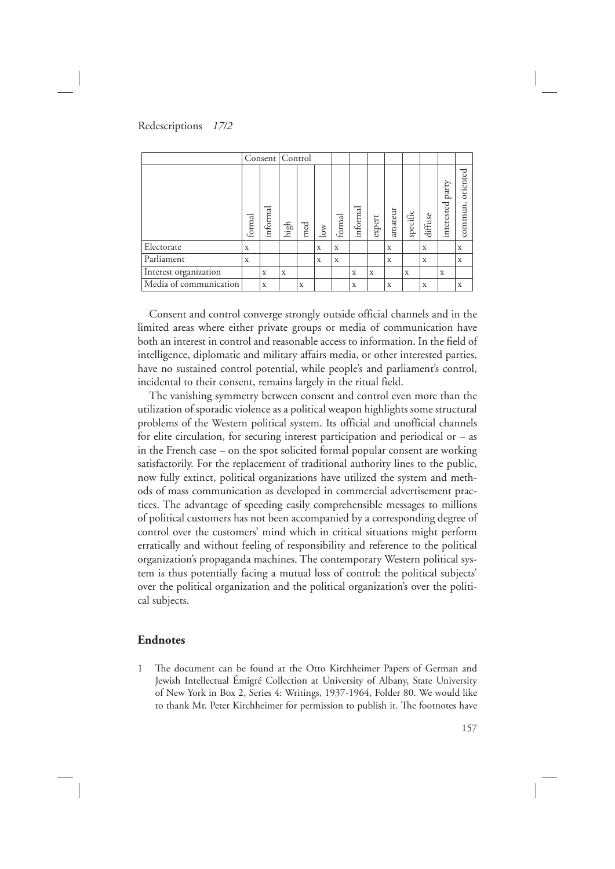|                        | Consent Control |          |      |     |              |        |          |        |         |          |         |                     |                    |
|------------------------|-----------------|----------|------|-----|--------------|--------|----------|--------|---------|----------|---------|---------------------|--------------------|
|                        | formal          | informal | high | med | $_{\rm low}$ | formal | informal | expert | amateur | specific | diffuse | party<br>interested | oriented<br>commun |
| Electorate             | X               |          |      |     | X            | X      |          |        | X       |          | X       |                     | X                  |
| Parliament             | X               |          |      |     | X            | X      |          |        | X       |          | X       |                     | X                  |
| Interest organization  |                 | X        | X    |     |              |        | X        | X      |         | X        |         | $\mathbf x$         |                    |
| Media of communication |                 | X        |      | X   |              |        | X        |        | X       |          | X       |                     | X                  |

Consent and control converge strongly outside official channels and in the limited areas where either private groups or media of communication have both an interest in control and reasonable access to information. In the field of intelligence, diplomatic and military affairs media, or other interested parties, have no sustained control potential, while people's and parliament's control, incidental to their consent, remains largely in the ritual field.

The vanishing symmetry between consent and control even more than the utilization of sporadic violence as a political weapon highlights some structural problems of the Western political system. Its official and unofficial channels for elite circulation, for securing interest participation and periodical or – as in the French case – on the spot solicited formal popular consent are working satisfactorily. For the replacement of traditional authority lines to the public, now fully extinct, political organizations have utilized the system and methods of mass communication as developed in commercial advertisement practices. The advantage of speeding easily comprehensible messages to millions of political customers has not been accompanied by a corresponding degree of control over the customers' mind which in critical situations might perform erratically and without feeling of responsibility and reference to the political organization's propaganda machines. The contemporary Western political system is thus potentially facing a mutual loss of control: the political subjects' over the political organization and the political organization's over the political subjects.

# **Endnotes**

1 The document can be found at the Otto Kirchheimer Papers of German and Jewish Intellectual Émigré Collection at University of Albany, State University of New York in Box 2, Series 4: Writings, 1937-1964, Folder 80. We would like to thank Mr. Peter Kirchheimer for permission to publish it. The footnotes have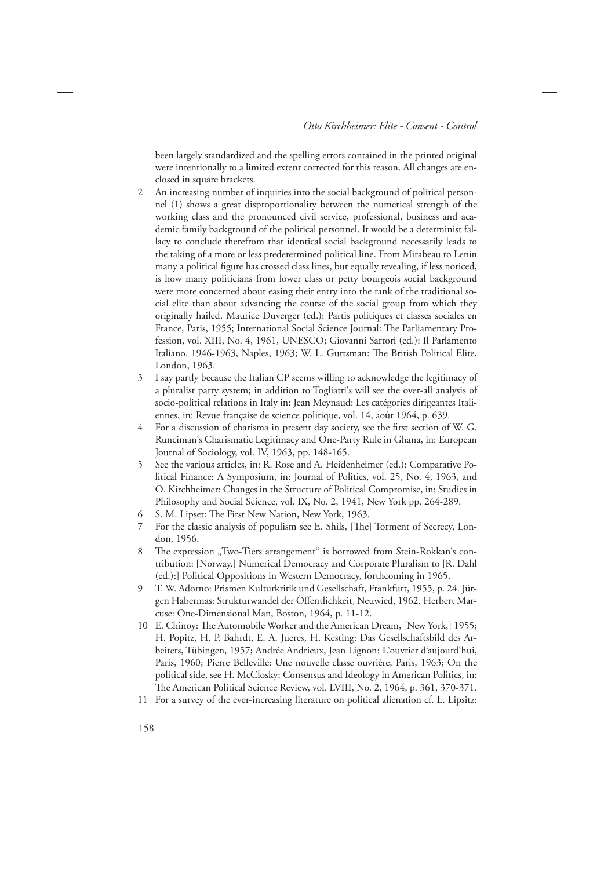been largely standardized and the spelling errors contained in the printed original were intentionally to a limited extent corrected for this reason. All changes are enclosed in square brackets.

- 2 An increasing number of inquiries into the social background of political personnel (1) shows a great disproportionality between the numerical strength of the working class and the pronounced civil service, professional, business and academic family background of the political personnel. It would be a determinist fallacy to conclude therefrom that identical social background necessarily leads to the taking of a more or less predetermined political line. From Mirabeau to Lenin many a political figure has crossed class lines, but equally revealing, if less noticed, is how many politicians from lower class or petty bourgeois social background were more concerned about easing their entry into the rank of the traditional social elite than about advancing the course of the social group from which they originally hailed. Maurice Duverger (ed.): Partis politiques et classes sociales en France, Paris, 1955; International Social Science Journal: The Parliamentary Profession, vol. XIII, No. 4, 1961, UNESCO; Giovanni Sartori (ed.): Il Parlamento Italiano. 1946-1963, Naples, 1963; W. L. Guttsman: The British Political Elite, London, 1963.
- 3 I say partly because the Italian CP seems willing to acknowledge the legitimacy of a pluralist party system; in addition to Togliatti's will see the over-all analysis of socio-political relations in Italy in: Jean Meynaud: Les catégories dirigeantes Italiennes, in: Revue française de science politique, vol. 14, août 1964, p. 639.
- 4 For a discussion of charisma in present day society, see the first section of W. G. Runciman's Charismatic Legitimacy and One-Party Rule in Ghana, in: European Journal of Sociology, vol. IV, 1963, pp. 148-165.
- 5 See the various articles, in: R. Rose and A. Heidenheimer (ed.): Comparative Political Finance: A Symposium, in: Journal of Politics, vol. 25, No. 4, 1963, and O. Kirchheimer: Changes in the Structure of Political Compromise, in: Studies in Philosophy and Social Science, vol. IX, No. 2, 1941, New York pp. 264-289.
- 6 S. M. Lipset: The First New Nation, New York, 1963.
- 7 For the classic analysis of populism see E. Shils, [The] Torment of Secrecy, London, 1956.
- 8 The expression "Two-Tiers arrangement" is borrowed from Stein-Rokkan's contribution: [Norway.] Numerical Democracy and Corporate Pluralism to [R. Dahl (ed.):] Political Oppositions in Western Democracy, forthcoming in 1965.
- 9 T. W. Adorno: Prismen Kulturkritik und Gesellschaft, Frankfurt, 1955, p. 24. Jürgen Habermas: Strukturwandel der Öffentlichkeit, Neuwied, 1962. Herbert Marcuse: One-Dimensional Man, Boston, 1964, p. 11-12.
- 10 E. Chinoy: The Automobile Worker and the American Dream, [New York,] 1955; H. Popitz, H. P. Bahrdt, E. A. Jueres, H. Kesting: Das Gesellschaftsbild des Arbeiters, Tübingen, 1957; Andrée Andrieux, Jean Lignon: L'ouvrier d'aujourd'hui, Paris, 1960; Pierre Belleville: Une nouvelle classe ouvrière, Paris, 1963; On the political side, see H. McClosky: Consensus and Ideology in American Politics, in: The American Political Science Review, vol. LVIII, No. 2, 1964, p. 361, 370-371.
- 11 For a survey of the ever-increasing literature on political alienation cf. L. Lipsitz: